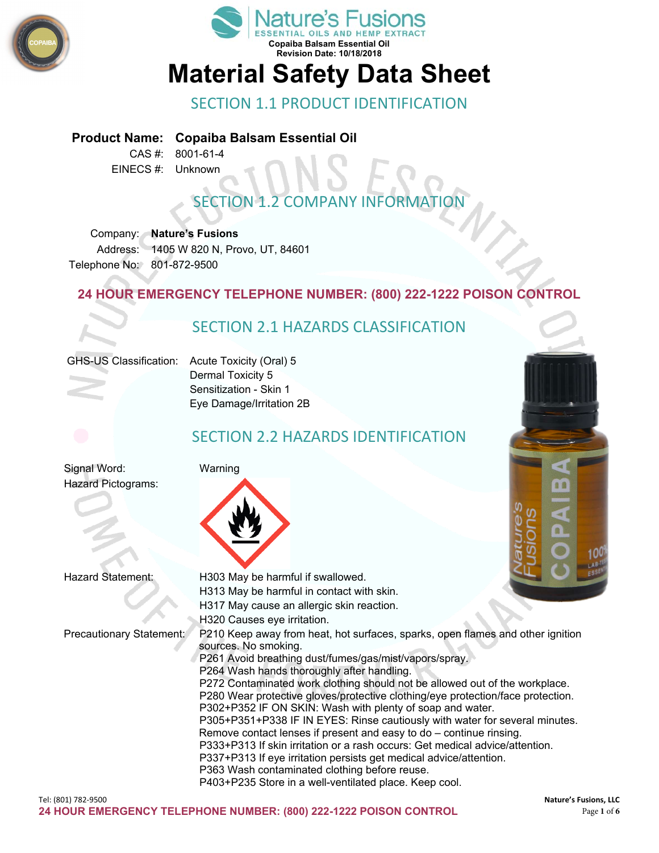



# SECTION 1.1 PRODUCT IDENTIFICATION

#### **Product Name: Copaiba Balsam Essential Oil**

CAS #: 8001-61-4 EINECS #: Unknown

# **SECTION 1.2 COMPANY INFORMAT**

Company: **Nature's Fusions** Address: 1405 W 820 N, Provo, UT, 84601 Telephone No: 801-872-9500

#### **24 HOUR EMERGENCY TELEPHONE NUMBER: (800) 222-1222 POISON CONTROL**

# SECTION 2.1 HAZARDS CLASSIFICATION GHS-US Classification: Acute Toxicity (Oral) 5 Dermal Toxicity 5 Sensitization - Skin 1 Eye Damage/Irritation 2B SECTION 2.2 HAZARDS IDENTIFICATION Signal Word: Warning Hazard Pictograms: 88 Hazard Statement: H303 May be harmful if swallowed. H313 May be harmful in contact with skin. H317 May cause an allergic skin reaction. H320 Causes eye irritation. Precautionary Statement: P210 Keep away from heat, hot surfaces, sparks, open flames and other ignition sources. No smoking. P261 Avoid breathing dust/fumes/gas/mist/vapors/spray.

P272 Contaminated work clothing should not be allowed out of the workplace. P280 Wear protective gloves/protective clothing/eye protection/face protection.

P305+P351+P338 IF IN EYES: Rinse cautiously with water for several minutes.

P302+P352 IF ON SKIN: Wash with plenty of soap and water.

Remove contact lenses if present and easy to do – continue rinsing. P333+P313 If skin irritation or a rash occurs: Get medical advice/attention.

P337+P313 If eye irritation persists get medical advice/attention.

P264 Wash hands thoroughly after handling.

P363 Wash contaminated clothing before reuse. P403+P235 Store in a well-ventilated place. Keep cool.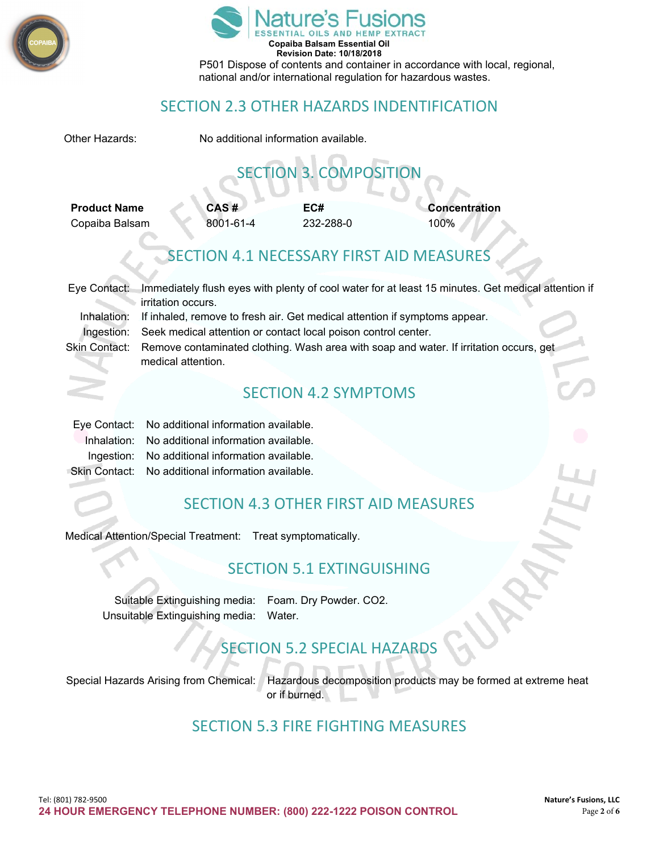



#### SECTION 2.3 OTHER HAZARDS INDENTIFICATION

| Other Hazards:                                                                                                 |                                                                                           | No additional information available.            |                                          |                                                                                                    |  |  |
|----------------------------------------------------------------------------------------------------------------|-------------------------------------------------------------------------------------------|-------------------------------------------------|------------------------------------------|----------------------------------------------------------------------------------------------------|--|--|
|                                                                                                                |                                                                                           |                                                 | <b>SECTION 3. COMPOSITION</b>            |                                                                                                    |  |  |
| <b>Product Name</b>                                                                                            |                                                                                           | CAS#                                            | EC#                                      | <b>Concentration</b>                                                                               |  |  |
| Copaiba Balsam                                                                                                 |                                                                                           | 8001-61-4                                       | 232-288-0                                | 100%                                                                                               |  |  |
|                                                                                                                |                                                                                           |                                                 | SECTION 4.1 NECESSARY FIRST AID MEASURES |                                                                                                    |  |  |
| Eye Contact:                                                                                                   |                                                                                           |                                                 |                                          | Immediately flush eyes with plenty of cool water for at least 15 minutes. Get medical attention if |  |  |
|                                                                                                                | irritation occurs.                                                                        |                                                 |                                          |                                                                                                    |  |  |
|                                                                                                                | Inhalation:<br>If inhaled, remove to fresh air. Get medical attention if symptoms appear. |                                                 |                                          |                                                                                                    |  |  |
| Ingestion:                                                                                                     | Seek medical attention or contact local poison control center.                            |                                                 |                                          |                                                                                                    |  |  |
| <b>Skin Contact:</b><br>Remove contaminated clothing. Wash area with soap and water. If irritation occurs, get |                                                                                           |                                                 |                                          |                                                                                                    |  |  |
|                                                                                                                | medical attention.                                                                        |                                                 |                                          |                                                                                                    |  |  |
|                                                                                                                |                                                                                           |                                                 | <b>SECTION 4.2 SYMPTOMS</b>              |                                                                                                    |  |  |
| Eye Contact:                                                                                                   |                                                                                           | No additional information available.            |                                          |                                                                                                    |  |  |
| Inhalation:                                                                                                    |                                                                                           | No additional information available.            |                                          |                                                                                                    |  |  |
|                                                                                                                |                                                                                           | Ingestion: No additional information available. |                                          |                                                                                                    |  |  |
| Skin Contact:                                                                                                  |                                                                                           | No additional information available.            |                                          |                                                                                                    |  |  |
|                                                                                                                |                                                                                           |                                                 |                                          |                                                                                                    |  |  |

### SECTION 4.3 OTHER FIRST AID MEASURES

Medical Attention/Special Treatment: Treat symptomatically.

## SECTION 5.1 EXTINGUISHING

Suitable Extinguishing media: Foam. Dry Powder. CO2. Unsuitable Extinguishing media: Water.

## SECTION 5.2 SPECIAL HAZARDS

Special Hazards Arising from Chemical: Hazardous decomposition products may be formed at extreme heat or if burned.

### SECTION 5.3 FIRE FIGHTING MEASURES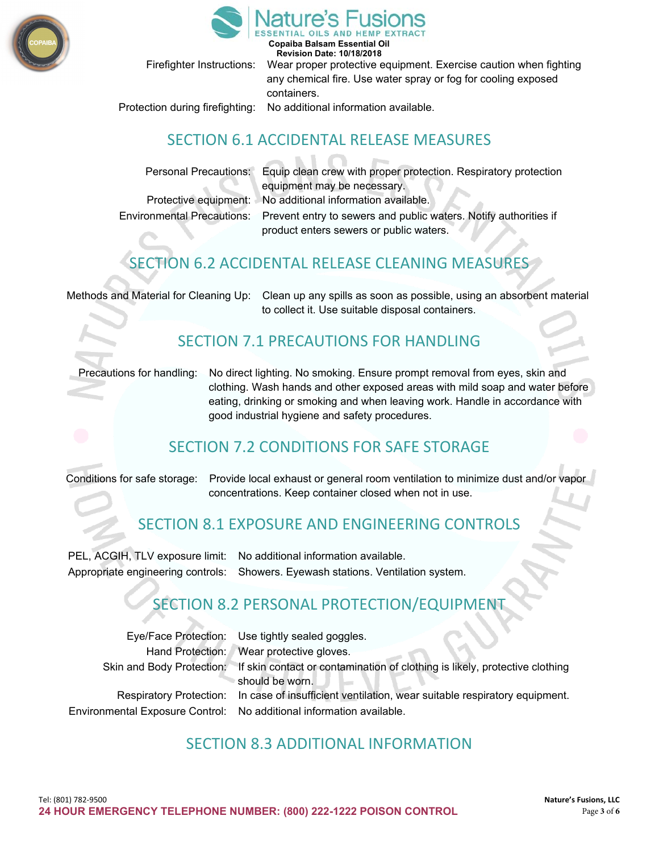



**Copaiba Balsam Essential Oil Revision Date: 10/18/2018**

Firefighter Instructions: Wear proper protective equipment. Exercise caution when fighting any chemical fire. Use water spray or fog for cooling exposed containers.

Protection during firefighting: No additional information available.

#### SECTION 6.1 ACCIDENTAL RELEASE MEASURES

Personal Precautions: Equip clean crew with proper protection. Respiratory protection equipment may be necessary. Protective equipment: No additional information available. Environmental Precautions: Prevent entry to sewers and public waters. Notify authorities if

product enters sewers or public waters.

# SECTION 6.2 ACCIDENTAL RELEASE CLEANING MEASURES

Methods and Material for Cleaning Up: Clean up any spills as soon as possible, using an absorbent material to collect it. Use suitable disposal containers.

#### SECTION 7.1 PRECAUTIONS FOR HANDLING

Precautions for handling: No direct lighting. No smoking. Ensure prompt removal from eyes, skin and clothing. Wash hands and other exposed areas with mild soap and water before eating, drinking or smoking and when leaving work. Handle in accordance with good industrial hygiene and safety procedures.

### SECTION 7.2 CONDITIONS FOR SAFE STORAGE

Conditions for safe storage: Provide local exhaust or general room ventilation to minimize dust and/or vapor concentrations. Keep container closed when not in use.

### SECTION 8.1 EXPOSURE AND ENGINEERING CONTROLS

PEL, ACGIH, TLV exposure limit: No additional information available. Appropriate engineering controls: Showers. Eyewash stations. Ventilation system.

### SECTION 8.2 PERSONAL PROTECTION/EQUIPMENT

| Eye/Face Protection: Use tightly sealed goggles.                                                                                                                          |
|---------------------------------------------------------------------------------------------------------------------------------------------------------------------------|
| Hand Protection: Wear protective gloves.                                                                                                                                  |
| Skin and Body Protection: If skin contact or contamination of clothing is likely, protective clothing<br>should be worn.                                                  |
| Respiratory Protection: In case of insufficient ventilation, wear suitable respiratory equipment.<br>Environmental Exposure Control: No additional information available. |
|                                                                                                                                                                           |

#### SECTION 8.3 ADDITIONAL INFORMATION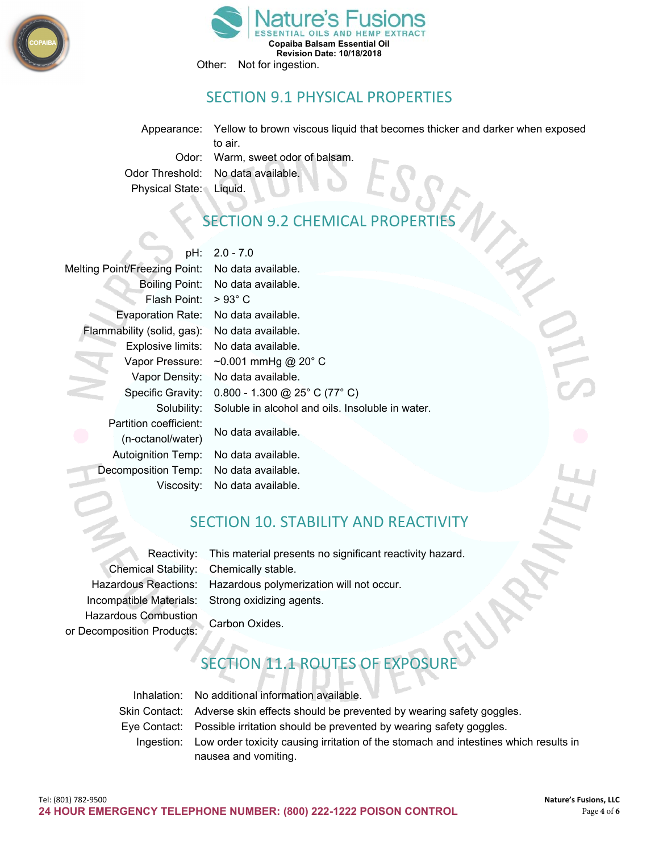



### SECTION 9.1 PHYSICAL PROPERTIES

Appearance: Yellow to brown viscous liquid that becomes thicker and darker when exposed to air. Odor: Warm, sweet odor of balsam. Odor Threshold: No data available. Physical State: Liquid.

# SECTION 9.2 CHEMICAL PROPERTIES

pH: 2.0 - 7.0

| <b>Melting Point/Freezing Point:</b> | No data available.                               |  |
|--------------------------------------|--------------------------------------------------|--|
| <b>Boiling Point:</b>                | No data available.                               |  |
| Flash Point:                         | $>93^{\circ}$ C                                  |  |
| <b>Evaporation Rate:</b>             | No data available.                               |  |
| Flammability (solid, gas):           | No data available.                               |  |
| Explosive limits:                    | No data available.                               |  |
| Vapor Pressure:                      | ~0.001 mmHg @ 20° C                              |  |
| Vapor Density:                       | No data available.                               |  |
| Specific Gravity:                    | $0.800 - 1.300$ @ 25° C (77° C)                  |  |
| Solubility:                          | Soluble in alcohol and oils. Insoluble in water. |  |
| Partition coefficient:               | No data available.                               |  |
| (n-octanol/water)                    |                                                  |  |
| <b>Autoignition Temp:</b>            | No data available.                               |  |
| Decomposition Temp:                  | No data available.                               |  |
| Viscosity:                           | No data available.                               |  |

### SECTION 10. STABILITY AND REACTIVITY

Hazardous Combustion Carbon Oxides. or Decomposition Products:

Reactivity: This material presents no significant reactivity hazard. Chemical Stability: Chemically stable. Hazardous Reactions: Hazardous polymerization will not occur. Incompatible Materials: Strong oxidizing agents.

# **JON 11.1 ROUTES OF EXPOSURE**

| Inhalation: No additional information available.                                                |
|-------------------------------------------------------------------------------------------------|
| Skin Contact: Adverse skin effects should be prevented by wearing safety goggles.               |
| Eye Contact: Possible irritation should be prevented by wearing safety goggles.                 |
| Ingestion: Low order toxicity causing irritation of the stomach and intestines which results in |
| nausea and vomiting.                                                                            |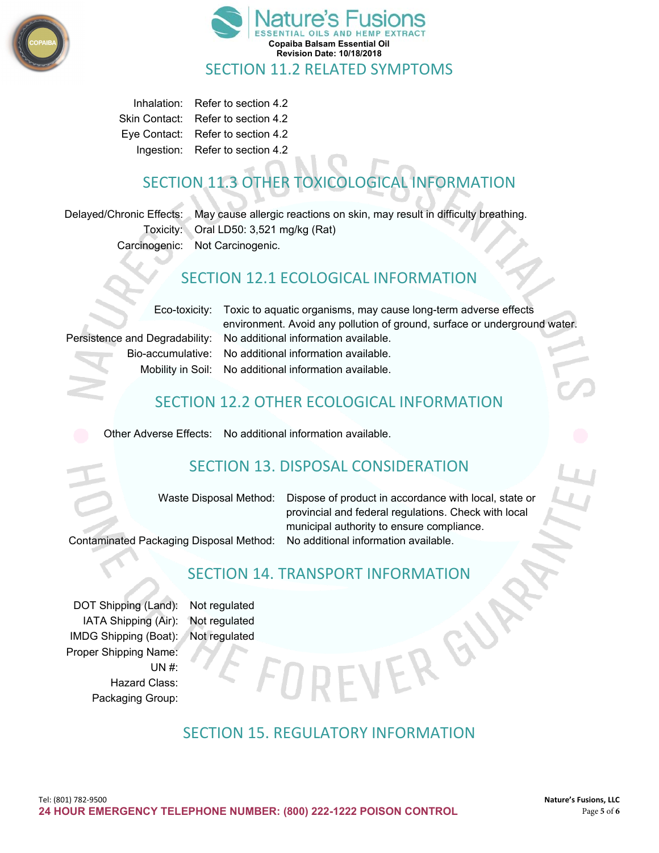



Inhalation: Refer to section 4.2 Skin Contact: Refer to section 4.2 Eye Contact: Refer to section 4.2 Ingestion: Refer to section 4.2

# SECTION 11.3 OTHER TOXICOLOGICAL INFORMATION

Delayed/Chronic Effects: May cause allergic reactions on skin, may result in difficulty breathing. Toxicity: Oral LD50: 3,521 mg/kg (Rat) Carcinogenic: Not Carcinogenic.

#### SECTION 12.1 ECOLOGICAL INFORMATION

Eco-toxicity: Toxic to aquatic organisms, may cause long-term adverse effects environment. Avoid any pollution of ground, surface or underground water. Persistence and Degradability: No additional information available. Bio-accumulative: No additional information available. Mobility in Soil: No additional information available.

# SECTION 12.2 OTHER ECOLOGICAL INFORMATION

Other Adverse Effects: No additional information available.

# SECTION 13. DISPOSAL CONSIDERATION

Waste Disposal Method: Dispose of product in accordance with local, state or provincial and federal regulations. Check with local municipal authority to ensure compliance.

Contaminated Packaging Disposal Method: No additional information available.

# SECTION 14. TRANSPORT INFORMATION

DOT Shipping (Land): Not regulated IATA Shipping (Air): Not regulated IMDG Shipping (Boat): Not regulated Proper Shipping Name: UN #: Hazard Class: Packaging Group:

## SECTION 15. REGULATORY INFORMATION